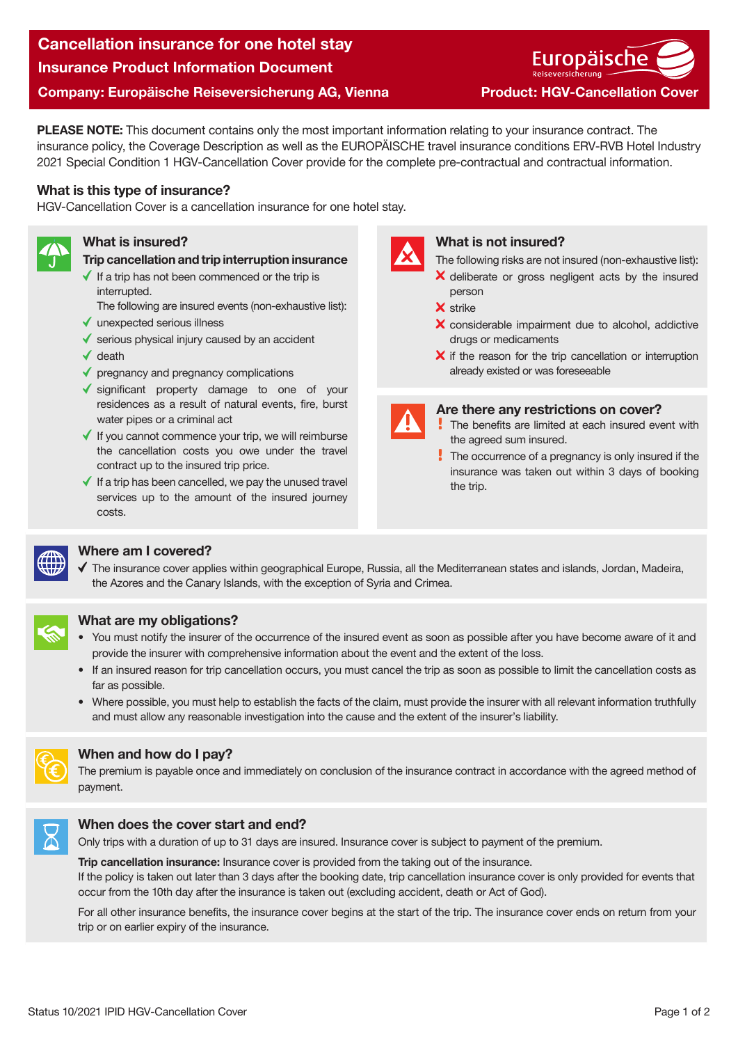# Cancellation insurance for one hotel stay Insurance Product Information Document Company: Europäische Reiseversicherung AG, Vienna Product: HGV-Cancellation Cover

Europäische

PLEASE NOTE: This document contains only the most important information relating to your insurance contract. The insurance policy, the Coverage Description as well as the EUROPÄISCHE travel insurance conditions ERV-RVB Hotel Industry 2021 Special Condition 1 HGV-Cancellation Cover provide for the complete pre-contractual and contractual information.

### What is this type of insurance?

HGV-Cancellation Cover is a cancellation insurance for one hotel stay.



#### What is insured?

- Trip cancellation and trip interruption insurance
- $\checkmark$  If a trip has not been commenced or the trip is interrupted.
- The following are insured events (non-exhaustive list):
- $\checkmark$  unexpected serious illness
- $\checkmark$  serious physical injury caused by an accident
- $\checkmark$  death
- $\blacklozenge$  pregnancy and pregnancy complications
- significant property damage to one of your residences as a result of natural events, fire, burst water pipes or a criminal act
- $\checkmark$  If you cannot commence your trip, we will reimburse the cancellation costs you owe under the travel contract up to the insured trip price.
- $\blacklozenge$  If a trip has been cancelled, we pay the unused travel services up to the amount of the insured journey costs.



#### What is not insured?

- The following risks are not insured (non-exhaustive list):
- X deliberate or gross negligent acts by the insured person
- X strike
- X considerable impairment due to alcohol, addictive drugs or medicaments
- $\boldsymbol{\times}$  if the reason for the trip cancellation or interruption already existed or was foreseeable



#### Are there any restrictions on cover?

- The benefits are limited at each insured event with the agreed sum insured.
- The occurrence of a pregnancy is only insured if the insurance was taken out within 3 days of booking the trip.



## Where am I covered?

 $\checkmark$  The insurance cover applies within geographical Europe. Russia, all the Mediterranean states and islands, Jordan, Madeira, the Azores and the Canary Islands, with the exception of Syria and Crimea.



## What are my obligations?

- You must notify the insurer of the occurrence of the insured event as soon as possible after you have become aware of it and provide the insurer with comprehensive information about the event and the extent of the loss.
- If an insured reason for trip cancellation occurs, you must cancel the trip as soon as possible to limit the cancellation costs as far as possible.
- Where possible, you must help to establish the facts of the claim, must provide the insurer with all relevant information truthfully and must allow any reasonable investigation into the cause and the extent of the insurer's liability.



## When and how do I pay?

The premium is payable once and immediately on conclusion of the insurance contract in accordance with the agreed method of payment.



#### When does the cover start and end?

Only trips with a duration of up to 31 days are insured. Insurance cover is subject to payment of the premium.

**Trip cancellation insurance:** Insurance cover is provided from the taking out of the insurance. If the policy is taken out later than 3 days after the booking date, trip cancellation insurance cover is only provided for events that occur from the 10th day after the insurance is taken out (excluding accident, death or Act of God).

For all other insurance benefits, the insurance cover begins at the start of the trip. The insurance cover ends on return from your trip or on earlier expiry of the insurance.